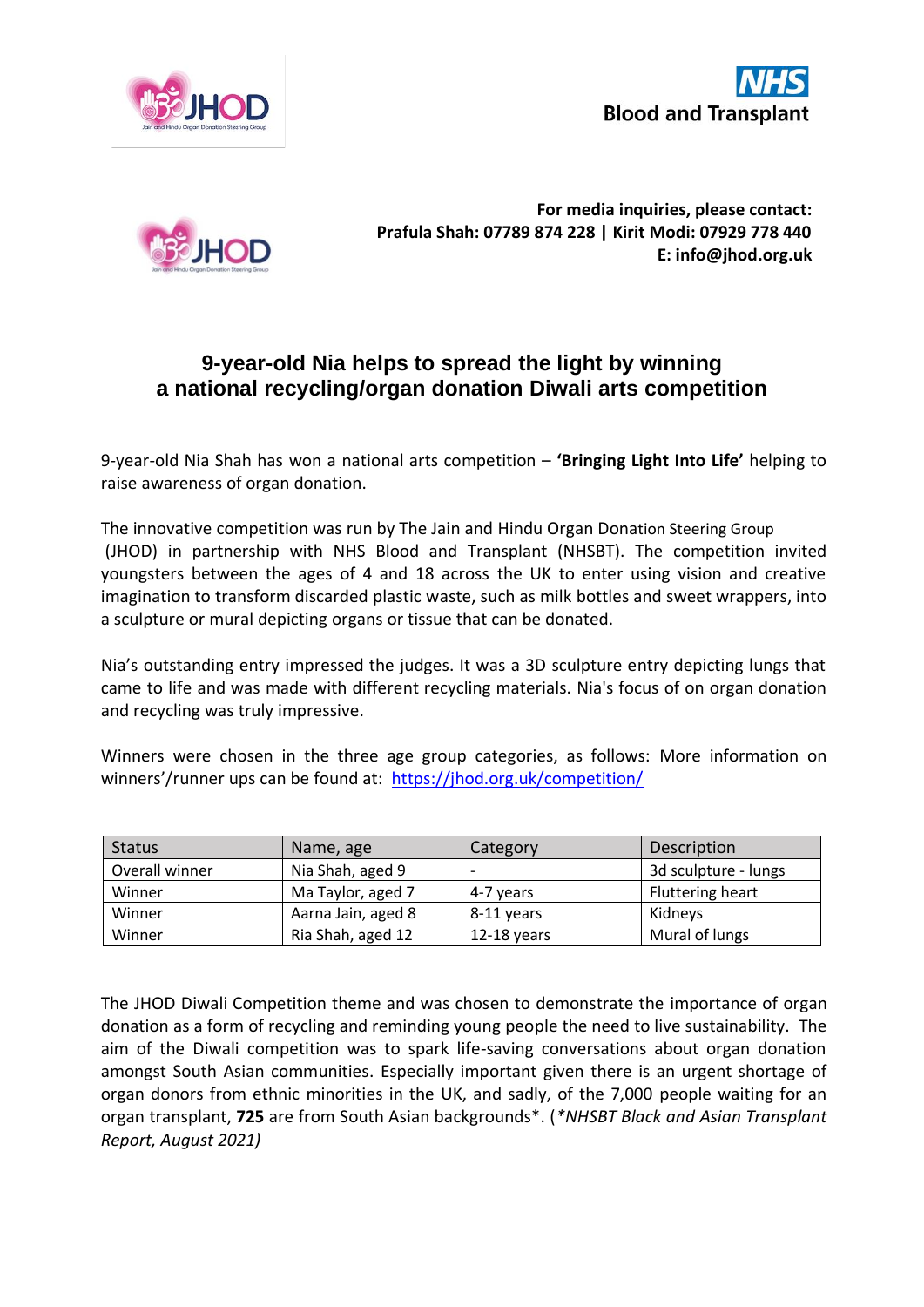





**For media inquiries, please contact: Prafula Shah: 07789 874 228 | Kirit Modi: 07929 778 440 E: info@jhod.org.uk**

## **9-year-old Nia helps to spread the light by winning a national recycling/organ donation Diwali arts competition**

9-year-old Nia Shah has won a national arts competition – **'Bringing Light Into Life'** helping to raise awareness of organ donation.

The innovative competition was run by The Jain and Hindu Organ Donation Steering Group (JHOD) in partnership with NHS Blood and Transplant (NHSBT). The competition invited youngsters between the ages of 4 and 18 across the UK to enter using vision and creative imagination to transform discarded plastic waste, such as milk bottles and sweet wrappers, into a sculpture or mural depicting organs or tissue that can be donated.

Nia's outstanding entry impressed the judges. It was a 3D sculpture entry depicting lungs that came to life and was made with different recycling materials. Nia's focus of on organ donation and recycling was truly impressive.

Winners were chosen in the three age group categories, as follows: More information on winners'/runner ups can be found at: <https://jhod.org.uk/competition/>

| <b>Status</b>  | Name, age          | Category                 | Description          |
|----------------|--------------------|--------------------------|----------------------|
| Overall winner | Nia Shah, aged 9   | $\overline{\phantom{0}}$ | 3d sculpture - lungs |
| Winner         | Ma Taylor, aged 7  | 4-7 years                | Fluttering heart     |
| Winner         | Aarna Jain, aged 8 | 8-11 years               | Kidnevs              |
| Winner         | Ria Shah, aged 12  | $12-18$ years            | Mural of lungs       |

The JHOD Diwali Competition theme and was chosen to demonstrate the importance of organ donation as a form of recycling and reminding young people the need to live sustainability. The aim of the Diwali competition was to spark life-saving conversations about organ donation amongst South Asian communities. Especially important given there is an urgent shortage of organ donors from ethnic minorities in the UK, and sadly, of the 7,000 people waiting for an organ transplant, **725** are from South Asian backgrounds\*. (*\*NHSBT Black and Asian Transplant Report, August 2021)*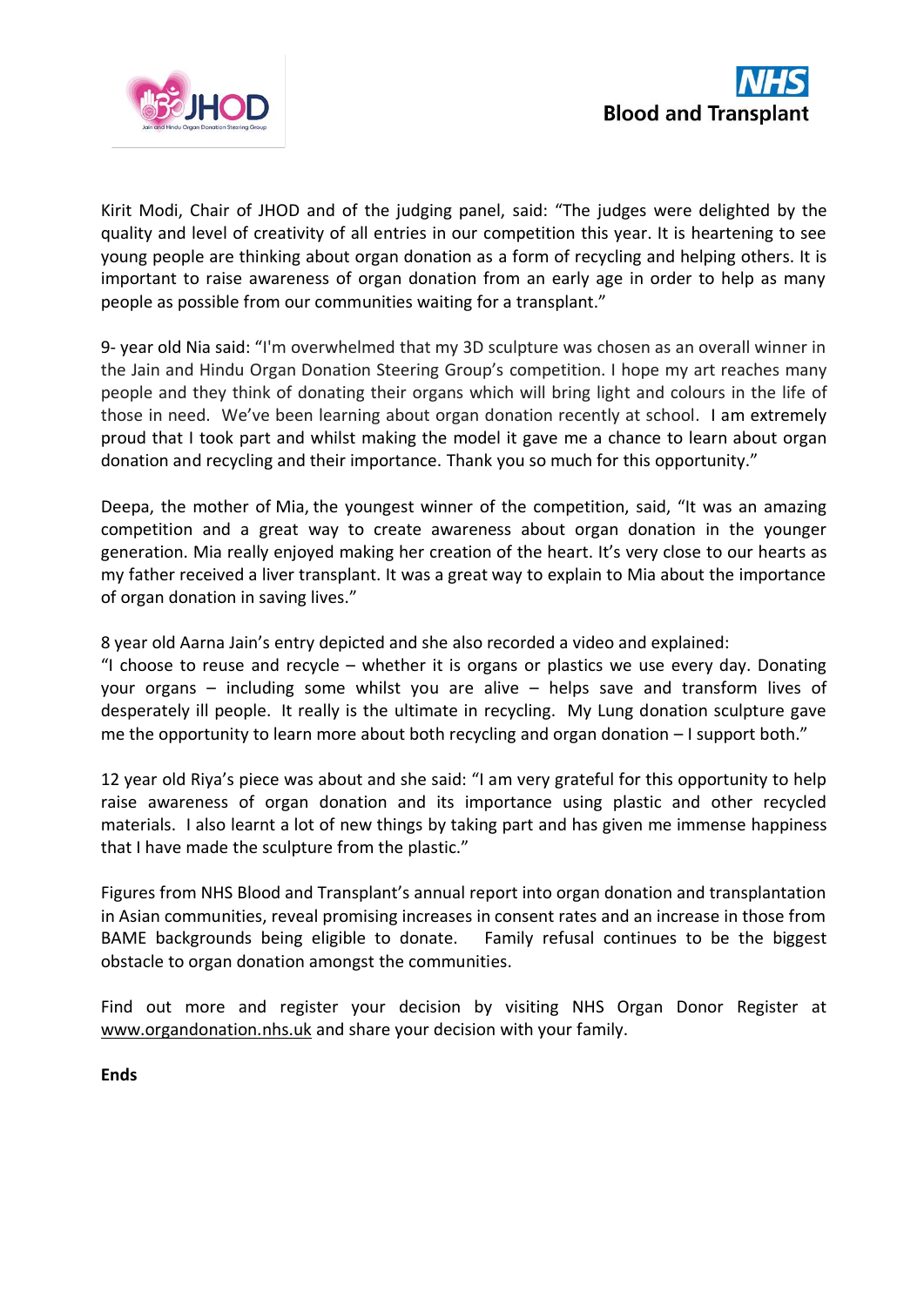



Kirit Modi, Chair of JHOD and of the judging panel, said: "The judges were delighted by the quality and level of creativity of all entries in our competition this year. It is heartening to see young people are thinking about organ donation as a form of recycling and helping others. It is important to raise awareness of organ donation from an early age in order to help as many people as possible from our communities waiting for a transplant."

9- year old Nia said: "I'm overwhelmed that my 3D sculpture was chosen as an overall winner in the Jain and Hindu Organ Donation Steering Group's competition. I hope my art reaches many people and they think of donating their organs which will bring light and colours in the life of those in need. We've been learning about organ donation recently at school. I am extremely proud that I took part and whilst making the model it gave me a chance to learn about organ donation and recycling and their importance. Thank you so much for this opportunity."

Deepa, the mother of Mia, the youngest winner of the competition, said, "It was an amazing competition and a great way to create awareness about organ donation in the younger generation. Mia really enjoyed making her creation of the heart. It's very close to our hearts as my father received a liver transplant. It was a great way to explain to Mia about the importance of organ donation in saving lives."

8 year old Aarna Jain's entry depicted and she also recorded a video and explained:

"I choose to reuse and recycle  $-$  whether it is organs or plastics we use every day. Donating your organs – including some whilst you are alive – helps save and transform lives of desperately ill people. It really is the ultimate in recycling. My Lung donation sculpture gave me the opportunity to learn more about both recycling and organ donation – I support both."

12 year old Riya's piece was about and she said: "I am very grateful for this opportunity to help raise awareness of organ donation and its importance using plastic and other recycled materials. I also learnt a lot of new things by taking part and has given me immense happiness that I have made the sculpture from the plastic."

Figures from NHS Blood and Transplant's annual report into organ donation and transplantation in Asian communities, reveal promising increases in consent rates and an increase in those from BAME backgrounds being eligible to donate. Family refusal continues to be the biggest obstacle to organ donation amongst the communities.

Find out more and register your decision by visiting NHS Organ Donor Register at [www.organdonation.nhs.uk](about:blank) and share your decision with your family.

**Ends**